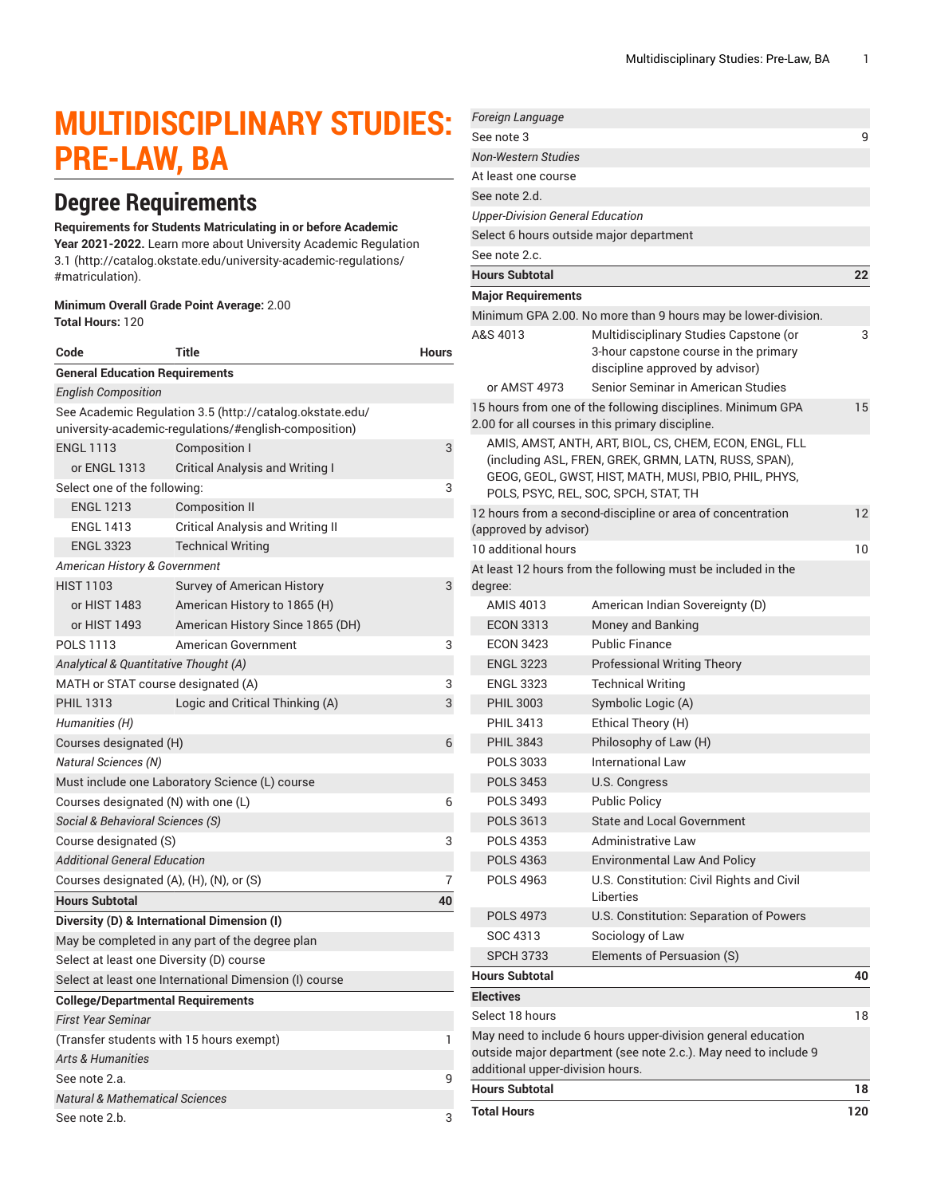# **MULTIDISCIPLINARY STUDIES: PRE-LAW, BA**

## **Degree Requirements**

#### **Requirements for Students Matriculating in or before Academic**

**Year 2021-2022.** Learn more about University Academic [Regulation](http://catalog.okstate.edu/university-academic-regulations/#matriculation) [3.1](http://catalog.okstate.edu/university-academic-regulations/#matriculation) ([http://catalog.okstate.edu/university-academic-regulations/](http://catalog.okstate.edu/university-academic-regulations/#matriculation) [#matriculation\)](http://catalog.okstate.edu/university-academic-regulations/#matriculation).

#### **Minimum Overall Grade Point Average:** 2.00 **Total Hours:** 120

| Code                                                                                                              | Title                                                  | Hours |
|-------------------------------------------------------------------------------------------------------------------|--------------------------------------------------------|-------|
| <b>General Education Requirements</b>                                                                             |                                                        |       |
| <b>English Composition</b>                                                                                        |                                                        |       |
| See Academic Regulation 3.5 (http://catalog.okstate.edu/<br>university-academic-regulations/#english-composition) |                                                        |       |
| <b>ENGL 1113</b>                                                                                                  | Composition I                                          | 3     |
| or ENGL 1313                                                                                                      | <b>Critical Analysis and Writing I</b>                 |       |
| Select one of the following:                                                                                      | 3                                                      |       |
| <b>ENGL 1213</b>                                                                                                  | <b>Composition II</b>                                  |       |
| <b>ENGL 1413</b>                                                                                                  | <b>Critical Analysis and Writing II</b>                |       |
| <b>ENGL 3323</b>                                                                                                  | <b>Technical Writing</b>                               |       |
| American History & Government                                                                                     |                                                        |       |
| <b>HIST 1103</b>                                                                                                  | Survey of American History                             | 3     |
| or HIST 1483                                                                                                      | American History to 1865 (H)                           |       |
| or HIST 1493                                                                                                      | American History Since 1865 (DH)                       |       |
| POLS 1113                                                                                                         | American Government                                    | 3     |
| Analytical & Quantitative Thought (A)                                                                             |                                                        |       |
| MATH or STAT course designated (A)                                                                                |                                                        | 3     |
| <b>PHIL 1313</b>                                                                                                  | Logic and Critical Thinking (A)                        | 3     |
| Humanities (H)                                                                                                    |                                                        |       |
| Courses designated (H)                                                                                            | 6                                                      |       |
| <b>Natural Sciences (N)</b>                                                                                       |                                                        |       |
|                                                                                                                   | Must include one Laboratory Science (L) course         |       |
| Courses designated (N) with one (L)                                                                               |                                                        |       |
| Social & Behavioral Sciences (S)                                                                                  |                                                        |       |
| Course designated (S)                                                                                             |                                                        |       |
| <b>Additional General Education</b>                                                                               |                                                        |       |
| Courses designated (A), (H), (N), or (S)                                                                          |                                                        |       |
| <b>Hours Subtotal</b>                                                                                             |                                                        | 40    |
|                                                                                                                   | Diversity (D) & International Dimension (I)            |       |
|                                                                                                                   | May be completed in any part of the degree plan        |       |
| Select at least one Diversity (D) course                                                                          |                                                        |       |
|                                                                                                                   | Select at least one International Dimension (I) course |       |
| <b>College/Departmental Requirements</b>                                                                          |                                                        |       |
| <b>First Year Seminar</b>                                                                                         |                                                        |       |
| (Transfer students with 15 hours exempt)                                                                          |                                                        |       |
| <b>Arts &amp; Humanities</b>                                                                                      |                                                        |       |
| See note 2.a.                                                                                                     |                                                        | 9     |
| <b>Natural &amp; Mathematical Sciences</b>                                                                        |                                                        |       |
| See note 2.b.                                                                                                     |                                                        | 3     |

| Foreign Language                                          |                                                                                                                                                                                                                 |     |
|-----------------------------------------------------------|-----------------------------------------------------------------------------------------------------------------------------------------------------------------------------------------------------------------|-----|
| See note 3                                                |                                                                                                                                                                                                                 | 9   |
| <b>Non-Western Studies</b>                                |                                                                                                                                                                                                                 |     |
| At least one course                                       |                                                                                                                                                                                                                 |     |
| See note 2.d.                                             |                                                                                                                                                                                                                 |     |
| <b>Upper-Division General Education</b>                   |                                                                                                                                                                                                                 |     |
|                                                           | Select 6 hours outside major department                                                                                                                                                                         |     |
| See note 2.c.                                             |                                                                                                                                                                                                                 |     |
| <b>Hours Subtotal</b>                                     |                                                                                                                                                                                                                 | 22  |
| <b>Major Requirements</b>                                 |                                                                                                                                                                                                                 |     |
|                                                           | Minimum GPA 2.00. No more than 9 hours may be lower-division.                                                                                                                                                   |     |
| A&S 4013                                                  | Multidisciplinary Studies Capstone (or                                                                                                                                                                          | 3   |
|                                                           | 3-hour capstone course in the primary                                                                                                                                                                           |     |
|                                                           | discipline approved by advisor)                                                                                                                                                                                 |     |
| or AMST 4973                                              | Senior Seminar in American Studies                                                                                                                                                                              |     |
|                                                           | 15 hours from one of the following disciplines. Minimum GPA<br>2.00 for all courses in this primary discipline.                                                                                                 | 15  |
|                                                           | AMIS, AMST, ANTH, ART, BIOL, CS, CHEM, ECON, ENGL, FLL<br>(including ASL, FREN, GREK, GRMN, LATN, RUSS, SPAN),<br>GEOG, GEOL, GWST, HIST, MATH, MUSI, PBIO, PHIL, PHYS,<br>POLS, PSYC, REL, SOC, SPCH, STAT, TH |     |
| (approved by advisor)                                     | 12 hours from a second-discipline or area of concentration                                                                                                                                                      | 12  |
| 10 additional hours                                       |                                                                                                                                                                                                                 | 10  |
| degree:                                                   | At least 12 hours from the following must be included in the                                                                                                                                                    |     |
| <b>AMIS 4013</b>                                          | American Indian Sovereignty (D)                                                                                                                                                                                 |     |
| <b>ECON 3313</b>                                          | Money and Banking                                                                                                                                                                                               |     |
| <b>ECON 3423</b>                                          | <b>Public Finance</b>                                                                                                                                                                                           |     |
| <b>ENGL 3223</b>                                          | <b>Professional Writing Theory</b>                                                                                                                                                                              |     |
| <b>ENGL 3323</b>                                          | <b>Technical Writing</b>                                                                                                                                                                                        |     |
| <b>PHIL 3003</b>                                          | Symbolic Logic (A)                                                                                                                                                                                              |     |
| <b>PHIL 3413</b>                                          | Ethical Theory (H)                                                                                                                                                                                              |     |
| <b>PHIL 3843</b>                                          | Philosophy of Law (H)                                                                                                                                                                                           |     |
| <b>POLS 3033</b>                                          | <b>International Law</b>                                                                                                                                                                                        |     |
| <b>POLS 3453</b>                                          | U.S. Congress                                                                                                                                                                                                   |     |
| POLS 3493                                                 | <b>Public Policy</b>                                                                                                                                                                                            |     |
| <b>POLS 3613</b>                                          | <b>State and Local Government</b>                                                                                                                                                                               |     |
| <b>POLS 4353</b>                                          | Administrative Law                                                                                                                                                                                              |     |
| <b>POLS 4363</b>                                          | <b>Environmental Law And Policy</b>                                                                                                                                                                             |     |
| POLS 4963                                                 | U.S. Constitution: Civil Rights and Civil<br>Liberties                                                                                                                                                          |     |
| <b>POLS 4973</b>                                          | U.S. Constitution: Separation of Powers                                                                                                                                                                         |     |
| SOC 4313                                                  | Sociology of Law                                                                                                                                                                                                |     |
| <b>SPCH 3733</b>                                          | Elements of Persuasion (S)                                                                                                                                                                                      |     |
| <b>Hours Subtotal</b>                                     |                                                                                                                                                                                                                 | 40  |
| <b>Electives</b>                                          |                                                                                                                                                                                                                 |     |
| Select 18 hours                                           |                                                                                                                                                                                                                 | 18  |
|                                                           | May need to include 6 hours upper-division general education<br>outside major department (see note 2.c.). May need to include 9                                                                                 |     |
| additional upper-division hours.<br><b>Hours Subtotal</b> |                                                                                                                                                                                                                 |     |
|                                                           |                                                                                                                                                                                                                 | 18  |
| <b>Total Hours</b>                                        |                                                                                                                                                                                                                 | 120 |